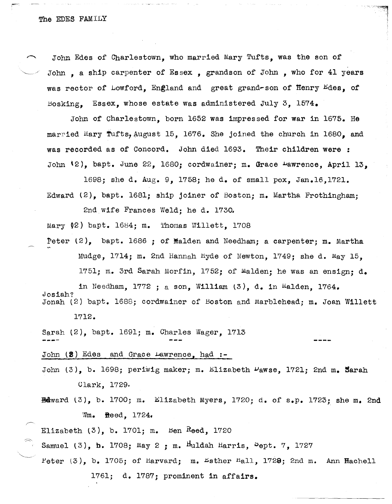John Edes of Charlestown, who married Mary Tufts, was the son of John, a ship carpenter of Essex, grandson of John, who for 41 years was rector of Lowford, England and great grand-son of Henry Edes, of Bosking. Essex, whose estate was administered July 3, 1574.

John of Charlestown, born 1652 was impressed for war in 1675. He married Mary Tufts, August 15, 1676. She joined the church in 1680, and was recorded as of Concord. John died 1693. Their children were : John  $(2)$ , bapt. June 22, 1680; cordwainer; m. Grace  $\mu$ awrence, April 13,

1698; she d. Aug. 9, 1758; he d. of small pox, Jan.16,1721. Edward (2), bapt. 1681; ship joiner of Boston; m. Martha Frothingham;

2nd wife Frances Weld; he d. 1730.

Mary  $(2)$  bapt. 1684; m. Thomas Willett. 1708

Peter  $(2)$ , bapt. 1686 ; of Malden and Needham; a carpenter; m. Martha Mudge, 1714; m. 2nd Hannah Hyde of Newton, 1749; she d. May 15,

1751; m. 3rd Sarah Morfin, 1752; of Malden; he was an ensign; d.

in Needham,  $1772$ ; a son, William  $(3)$ , d. in Malden,  $1764$ . Josiah? Jonah (2) bapt. 1688; cordwainer of Boston and Marblehead; m. Joan Willett 1712.

Sarah (2), bapt. 1691; m. Charles Wager, 1713

John (2) Edes and Grace Lawrence, had :-

John  $(3)$ , b. 1698; periwig maker; m. Elizabeth  $\nu$ awse, 1721; 2nd m. Sarah Clark, 1729.

 $Edward (3)$ , b. 1700; m. Elizabeth Myers, 1720; d. of s.p. 1723; she m. 2nd Wm. Reed, 1724.

Elizabeth  $(3)$ , b. 1701; m. Ben Reed, 1720

Samuel (3), b. 1708; May 2 : m. Huldah Harris,  $Spt. 7$ , 1727

Peter  $(3)$ , b. 1705; of Harvard; m. Esther Hall, 1729; 2nd m. Ann Hachell 1761; d. 1787; prominent in affairs.